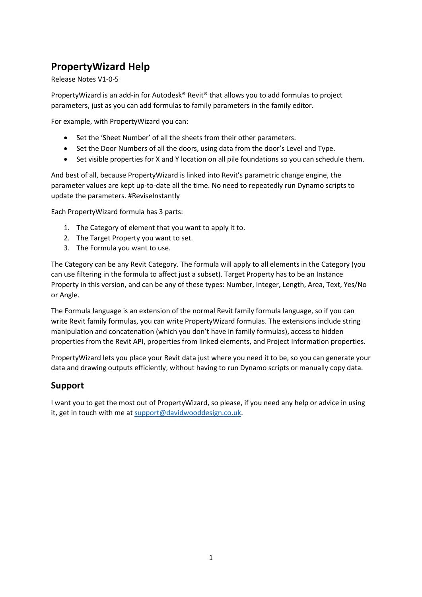# <span id="page-0-0"></span>**PropertyWizard Help**

Release Notes V1-0-5

PropertyWizard is an add-in for Autodesk® Revit® that allows you to add formulas to project parameters, just as you can add formulas to family parameters in the family editor.

For example, with PropertyWizard you can:

- Set the 'Sheet Number' of all the sheets from their other parameters.
- Set the Door Numbers of all the doors, using data from the door's Level and Type.
- Set visible properties for X and Y location on all pile foundations so you can schedule them.

And best of all, because PropertyWizard is linked into Revit's parametric change engine, the parameter values are kept up-to-date all the time. No need to repeatedly run Dynamo scripts to update the parameters. #ReviseInstantly

Each PropertyWizard formula has 3 parts:

- 1. The Category of element that you want to apply it to.
- 2. The Target Property you want to set.
- 3. The Formula you want to use.

The Category can be any Revit Category. The formula will apply to all elements in the Category (you can use filtering in the formula to affect just a subset). Target Property has to be an Instance Property in this version, and can be any of these types: Number, Integer, Length, Area, Text, Yes/No or Angle.

The Formula language is an extension of the normal Revit family formula language, so if you can write Revit family formulas, you can write PropertyWizard formulas. The extensions include string manipulation and concatenation (which you don't have in family formulas), access to hidden properties from the Revit API, properties from linked elements, and Project Information properties.

PropertyWizard lets you place your Revit data just where you need it to be, so you can generate your data and drawing outputs efficiently, without having to run Dynamo scripts or manually copy data.

## <span id="page-0-1"></span>**Support**

I want you to get the most out of PropertyWizard, so please, if you need any help or advice in using it, get in touch with me at [support@davidwooddesign.co.uk.](mailto:support@davidwooddesign.co.uk)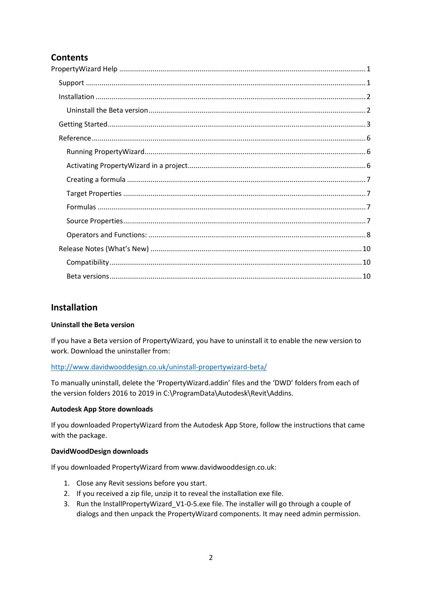## **Contents**

## <span id="page-1-0"></span>**Installation**

### <span id="page-1-1"></span>**Uninstall the Beta version**

If you have a Beta version of PropertyWizard, you have to uninstall it to enable the new version to work. Download the uninstaller from:

### <http://www.davidwooddesign.co.uk/uninstall-propertywizard-beta/>

To manually uninstall, delete the 'PropertyWizard.addin' files and the 'DWD' folders from each of the version folders 2016 to 2019 in C:\ProgramData\Autodesk\Revit\Addins.

#### **Autodesk App Store downloads**

If you downloaded PropertyWizard from the Autodesk App Store, follow the instructions that came with the package.

#### **DavidWoodDesign downloads**

If you downloaded PropertyWizard from www.davidwooddesign.co.uk:

- 1. Close any Revit sessions before you start.
- 2. If you received a zip file, unzip it to reveal the installation exe file.
- 3. Run the InstallPropertyWizard\_V1-0-5.exe file. The installer will go through a couple of dialogs and then unpack the PropertyWizard components. It may need admin permission.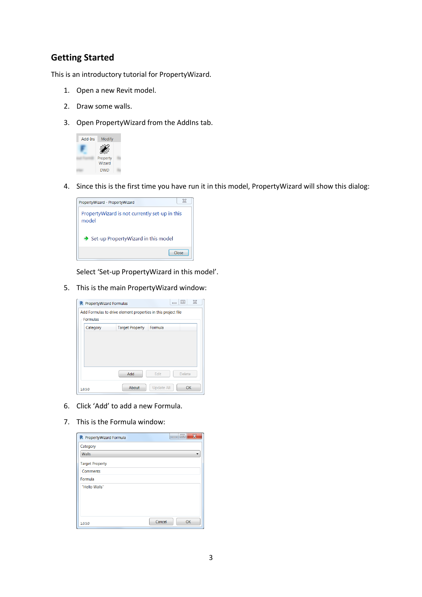## <span id="page-2-0"></span>**Getting Started**

This is an introductory tutorial for PropertyWizard.

- 1. Open a new Revit model.
- 2. Draw some walls.
- 3. Open PropertyWizard from the AddIns tab.



4. Since this is the first time you have run it in this model, PropertyWizard will show this dialog:



Select 'Set-up PropertyWizard in this model'.

5. This is the main PropertyWizard window:



- 6. Click 'Add' to add a new Formula.
- 7. This is the Formula window:

| R PropertyWizard Formula | $\overline{\mathbf{x}}$<br>$=$ $\Box$ |
|--------------------------|---------------------------------------|
| Category                 |                                       |
| <b>Walls</b>             |                                       |
| <b>Target Property</b>   |                                       |
| Comments                 |                                       |
| Formula                  |                                       |
| "Hello Walls"            |                                       |
|                          |                                       |
|                          |                                       |
|                          |                                       |
| 1.0.5.0                  | Cancel<br>OK                          |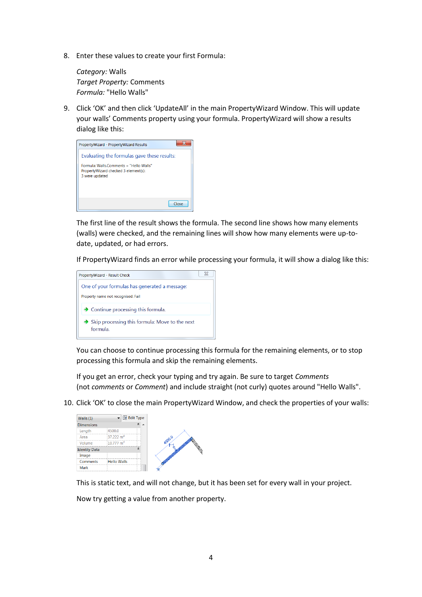8. Enter these values to create your first Formula:

*Category:* Walls *Target Property:* Comments *Formula:* "Hello Walls"

9. Click 'OK' and then click 'UpdateAll' in the main PropertyWizard Window. This will update your walls' Comments property using your formula. PropertyWizard will show a results dialog like this:



The first line of the result shows the formula. The second line shows how many elements (walls) were checked, and the remaining lines will show how many elements were up-todate, updated, or had errors.

If PropertyWizard finds an error while processing your formula, it will show a dialog like this:



You can choose to continue processing this formula for the remaining elements, or to stop processing this formula and skip the remaining elements.

If you get an error, check your typing and try again. Be sure to target *Comments* (not *comments* or *Comment*) and include straight (not curly) quotes around "Hello Walls".

10. Click 'OK' to close the main PropertyWizard Window, and check the properties of your walls:



This is static text, and will not change, but it has been set for every wall in your project.

Now try getting a value from another property.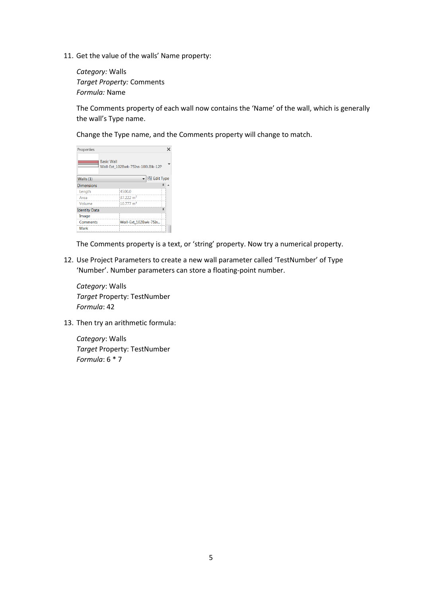11. Get the value of the walls' Name property:

*Category:* Walls *Target Property:* Comments *Formula:* Name

The Comments property of each wall now contains the 'Name' of the wall, which is generally the wall's Type name.

Change the Type name, and the Comments property will change to match.

| Properties           |                                                        |  |
|----------------------|--------------------------------------------------------|--|
|                      | <b>Basic Wall</b><br>Wall-Ext 102Bwk-75Ins-100LBlk-12P |  |
| Walls $(1)$          | <b>品 Edit Type</b>                                     |  |
| <b>Dimensions</b>    |                                                        |  |
| Length               | 4500.0                                                 |  |
| Area                 | 37.222 $m2$                                            |  |
| Volume               | $10.777 \text{ m}^3$                                   |  |
| <b>Identity Data</b> |                                                        |  |
| Image                |                                                        |  |
| Comments             | Wall-Ext 102Bwk-75In                                   |  |
| Mark                 |                                                        |  |

The Comments property is a text, or 'string' property. Now try a numerical property.

12. Use Project Parameters to create a new wall parameter called 'TestNumber' of Type 'Number'. Number parameters can store a floating-point number.

*Category*: Walls *Target* Property: TestNumber *Formula*: 42

13. Then try an arithmetic formula:

*Category*: Walls *Target* Property: TestNumber *Formula*: 6 \* 7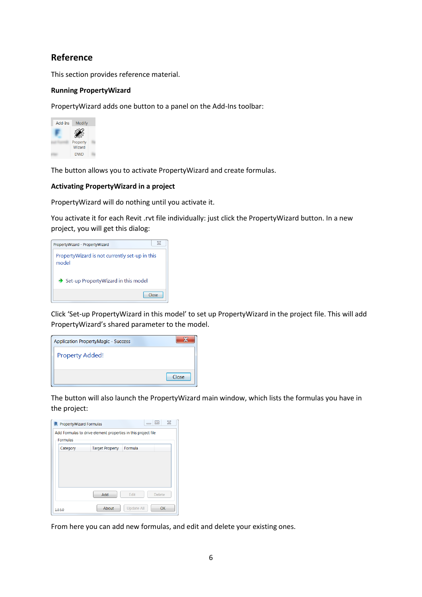## <span id="page-5-0"></span>**Reference**

This section provides reference material.

#### <span id="page-5-1"></span>**Running PropertyWizard**

PropertyWizard adds one button to a panel on the Add-Ins toolbar:



The button allows you to activate PropertyWizard and create formulas.

#### <span id="page-5-2"></span>**Activating PropertyWizard in a project**

PropertyWizard will do nothing until you activate it.

You activate it for each Revit .rvt file individually: just click the PropertyWizard button. In a new project, you will get this dialog:

| PropertyWizard - PropertyWizard                         |       |
|---------------------------------------------------------|-------|
| PropertyWizard is not currently set-up in this<br>model |       |
| $\rightarrow$ Set-up PropertyWizard in this model       |       |
|                                                         | Close |

Click 'Set-up PropertyWizard in this model' to set up PropertyWizard in the project file. This will add PropertyWizard's shared parameter to the model.

| <b>Application PropertyMagic - Success</b> |       |
|--------------------------------------------|-------|
| <b>Property Added!</b>                     |       |
|                                            | Close |

The button will also launch the PropertyWizard main window, which lists the formulas you have in the project:

| <b>R</b> PropertyWizard Formulas |                                                               |                   | $\Sigma$<br> □ |
|----------------------------------|---------------------------------------------------------------|-------------------|----------------|
| <b>Formulas</b>                  | Add Formulas to drive element properties in this project file |                   |                |
| Category                         | <b>Target Property</b>                                        | Formula           |                |
|                                  |                                                               |                   |                |
|                                  |                                                               |                   |                |
|                                  |                                                               |                   |                |
|                                  | Add                                                           | Edit              | <b>Delete</b>  |
| 1.0.5.0                          | About                                                         | <b>Update All</b> | OK             |

From here you can add new formulas, and edit and delete your existing ones.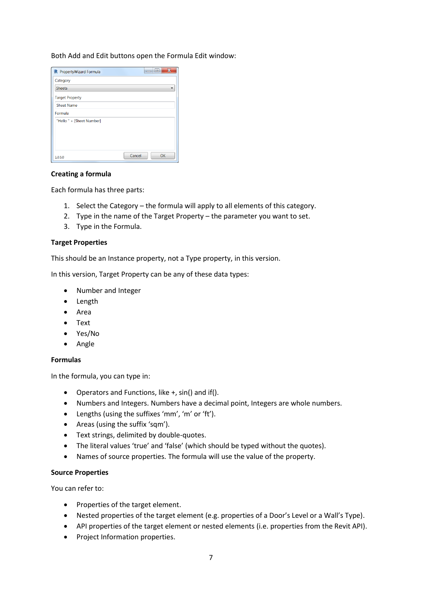#### Both Add and Edit buttons open the Formula Edit window:

| <b>R</b> PropertyWizard Formula | $\overline{\mathbf{x}}$<br>l = |
|---------------------------------|--------------------------------|
| Category                        |                                |
| <b>Sheets</b>                   |                                |
| <b>Target Property</b>          |                                |
| <b>Sheet Name</b>               |                                |
| Formula                         |                                |
| "Hello " + [Sheet Number]       |                                |
|                                 |                                |
|                                 |                                |
|                                 |                                |
| 1.0.5.0                         | Cancel<br>OK                   |

#### <span id="page-6-0"></span>**Creating a formula**

Each formula has three parts:

- 1. Select the Category the formula will apply to all elements of this category.
- 2. Type in the name of the Target Property the parameter you want to set.
- 3. Type in the Formula.

#### <span id="page-6-1"></span>**Target Properties**

This should be an Instance property, not a Type property, in this version.

In this version, Target Property can be any of these data types:

- Number and Integer
- Length
- Area
- Text
- Yes/No
- Angle

#### <span id="page-6-2"></span>**Formulas**

In the formula, you can type in:

- Operators and Functions, like +, sin() and if().
- Numbers and Integers. Numbers have a decimal point, Integers are whole numbers.
- Lengths (using the suffixes 'mm', 'm' or 'ft').
- Areas (using the suffix 'sqm').
- **•** Text strings, delimited by double-quotes.
- The literal values 'true' and 'false' (which should be typed without the quotes).
- Names of source properties. The formula will use the value of the property.

#### <span id="page-6-3"></span>**Source Properties**

You can refer to:

- Properties of the target element.
- Nested properties of the target element (e.g. properties of a Door's Level or a Wall's Type).
- API properties of the target element or nested elements (i.e. properties from the Revit API).
- Project Information properties.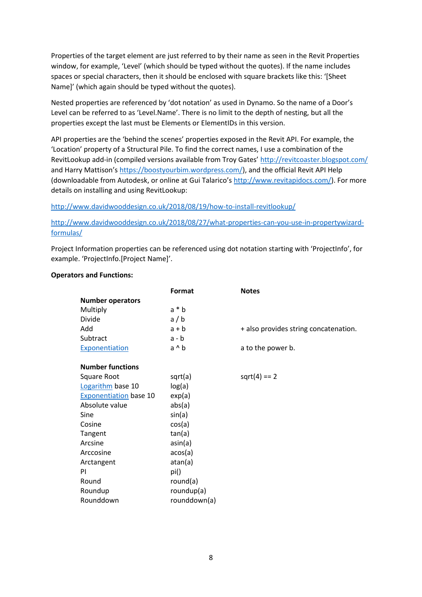Properties of the target element are just referred to by their name as seen in the Revit Properties window, for example, 'Level' (which should be typed without the quotes). If the name includes spaces or special characters, then it should be enclosed with square brackets like this: '[Sheet Name]' (which again should be typed without the quotes).

Nested properties are referenced by 'dot notation' as used in Dynamo. So the name of a Door's Level can be referred to as 'Level.Name'. There is no limit to the depth of nesting, but all the properties except the last must be Elements or ElementIDs in this version.

API properties are the 'behind the scenes' properties exposed in the Revit API. For example, the 'Location' property of a Structural Pile. To find the correct names, I use a combination of the RevitLookup add-in (compiled versions available from Troy Gates' <http://revitcoaster.blogspot.com/> and Harry Mattison's [https://boostyourbim.wordpress.com/\)](https://boostyourbim.wordpress.com/), and the official Revit API Help (downloadable from Autodesk, or online at Gui Talarico's [http://www.revitapidocs.com/\)](http://www.revitapidocs.com/). For more details on installing and using RevitLookup:

<http://www.davidwooddesign.co.uk/2018/08/19/how-to-install-revitlookup/>

[http://www.davidwooddesign.co.uk/2018/08/27/what-properties-can-you-use-in-propertywizard](http://www.davidwooddesign.co.uk/2018/08/27/what-properties-can-you-use-in-propertywizard-formulas/)[formulas/](http://www.davidwooddesign.co.uk/2018/08/27/what-properties-can-you-use-in-propertywizard-formulas/)

Project Information properties can be referenced using dot notation starting with 'ProjectInfo', for example. 'ProjectInfo.[Project Name]'.

### <span id="page-7-0"></span>**Operators and Functions:**

|                               | Format       | <b>Notes</b>                          |
|-------------------------------|--------------|---------------------------------------|
| <b>Number operators</b>       |              |                                       |
| Multiply                      | $a * b$      |                                       |
| Divide                        | a/b          |                                       |
| Add                           | $a + b$      | + also provides string concatenation. |
| Subtract                      | $a - b$      |                                       |
| Exponentiation                | a ^ b        | a to the power b.                     |
|                               |              |                                       |
| <b>Number functions</b>       |              |                                       |
| Square Root                   | sqrt(a)      | $sqrt(4) == 2$                        |
| Logarithm base 10             | log(a)       |                                       |
| <b>Exponentiation</b> base 10 | exp(a)       |                                       |
| Absolute value                | abs(a)       |                                       |
| Sine                          | sin(a)       |                                       |
| Cosine                        | cos(a)       |                                       |
| Tangent                       | tan(a)       |                                       |
| Arcsine                       | asin(a)      |                                       |
| Arccosine                     | acos(a)      |                                       |
| Arctangent                    | atan(a)      |                                       |
| PI                            | pi()         |                                       |
| Round                         | round $(a)$  |                                       |
| Roundup                       | roundup(a)   |                                       |
| Rounddown                     | rounddown(a) |                                       |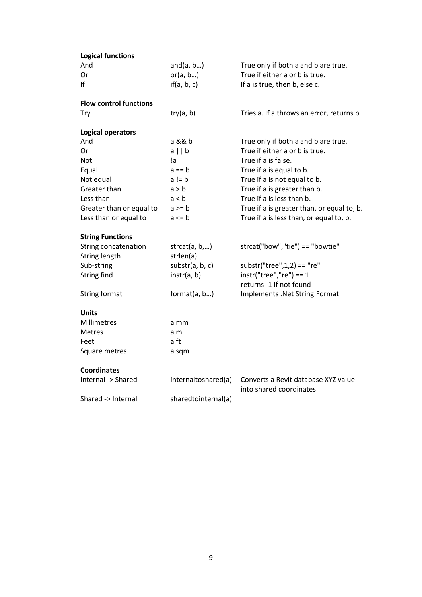| <b>Logical functions</b>      |                     |                                                                |
|-------------------------------|---------------------|----------------------------------------------------------------|
| And                           | and $(a, b)$        | True only if both a and b are true.                            |
| Or                            | or(a, b)            | True if either a or b is true.                                 |
| If                            | if(a, b, c)         | If a is true, then b, else c.                                  |
| <b>Flow control functions</b> |                     |                                                                |
| Try                           | try(a, b)           | Tries a. If a throws an error, returns b                       |
| <b>Logical operators</b>      |                     |                                                                |
| And                           | a && b              | True only if both a and b are true.                            |
| 0r                            | $a \mid b$          | True if either a or b is true.                                 |
| Not                           | la.                 | True if a is false.                                            |
| Equal                         | $a == b$            | True if a is equal to b.                                       |
| Not equal                     | $a != b$            | True if a is not equal to b.                                   |
| Greater than                  | a > b               | True if a is greater than b.                                   |
| Less than                     | a < b               | True if a is less than b.                                      |
| Greater than or equal to      | $a \geq b$          | True if a is greater than, or equal to, b.                     |
| Less than or equal to         | $a \leq b$          | True if a is less than, or equal to, b.                        |
| <b>String Functions</b>       |                     |                                                                |
| String concatenation          | str $cat(a, b, )$   | strcat("bow","tie") == "bowtie"                                |
| String length                 | strlen(a)           |                                                                |
| Sub-string                    | substr(a, b, c)     | $substr("tree", 1, 2) == "re"$                                 |
| <b>String find</b>            | instr(a, b)         | $instr("tree", "re") == 1$                                     |
|                               |                     | returns -1 if not found                                        |
| <b>String format</b>          | format(a, b)        | Implements .Net String.Format                                  |
| <b>Units</b>                  |                     |                                                                |
| Millimetres                   | a mm                |                                                                |
| <b>Metres</b>                 | a m                 |                                                                |
| Feet                          | a ft                |                                                                |
| Square metres                 | a sqm               |                                                                |
| <b>Coordinates</b>            |                     |                                                                |
| Internal -> Shared            | internaltoshared(a) | Converts a Revit database XYZ value<br>into shared coordinates |
| Shared -> Internal            | sharedtointernal(a) |                                                                |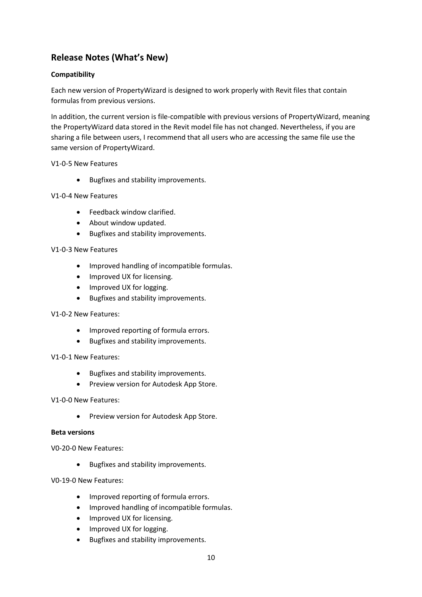## <span id="page-9-0"></span>**Release Notes (What's New)**

## <span id="page-9-1"></span>**Compatibility**

Each new version of PropertyWizard is designed to work properly with Revit files that contain formulas from previous versions.

In addition, the current version is file-compatible with previous versions of PropertyWizard, meaning the PropertyWizard data stored in the Revit model file has not changed. Nevertheless, if you are sharing a file between users, I recommend that all users who are accessing the same file use the same version of PropertyWizard.

### V1-0-5 New Features

• Bugfixes and stability improvements.

### V1-0-4 New Features

- Feedback window clarified.
- About window updated.
- Bugfixes and stability improvements.

#### V1-0-3 New Features

- Improved handling of incompatible formulas.
- Improved UX for licensing.
- Improved UX for logging.
- Bugfixes and stability improvements.

#### V1-0-2 New Features:

- Improved reporting of formula errors.
- Bugfixes and stability improvements.

#### V1-0-1 New Features:

- **•** Bugfixes and stability improvements.
- Preview version for Autodesk App Store.

#### V1-0-0 New Features:

**•** Preview version for Autodesk App Store.

#### <span id="page-9-2"></span>**Beta versions**

V0-20-0 New Features:

**•** Bugfixes and stability improvements.

### V0-19-0 New Features:

- Improved reporting of formula errors.
- Improved handling of incompatible formulas.
- Improved UX for licensing.
- Improved UX for logging.
- Bugfixes and stability improvements.